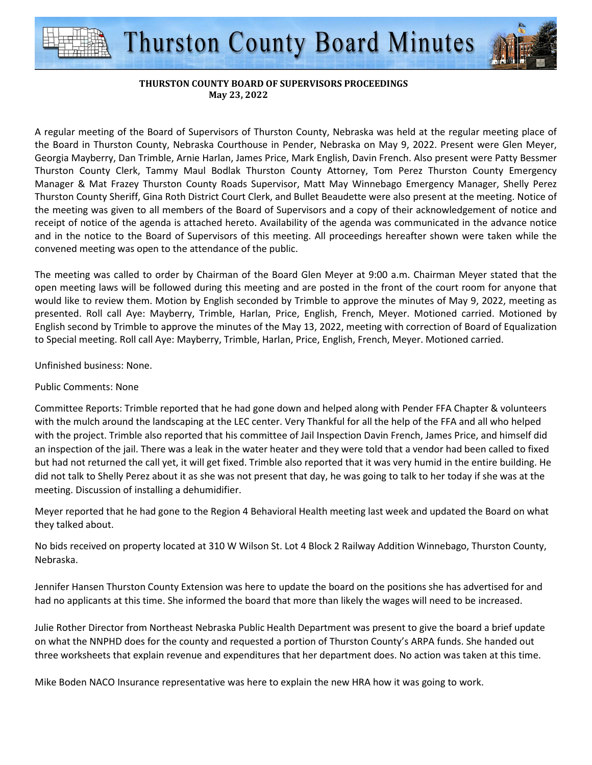

## **THURSTON COUNTY BOARD OF SUPERVISORS PROCEEDINGS May 23, 2022**

A regular meeting of the Board of Supervisors of Thurston County, Nebraska was held at the regular meeting place of the Board in Thurston County, Nebraska Courthouse in Pender, Nebraska on May 9, 2022. Present were Glen Meyer, Georgia Mayberry, Dan Trimble, Arnie Harlan, James Price, Mark English, Davin French. Also present were Patty Bessmer Thurston County Clerk, Tammy Maul Bodlak Thurston County Attorney, Tom Perez Thurston County Emergency Manager & Mat Frazey Thurston County Roads Supervisor, Matt May Winnebago Emergency Manager, Shelly Perez Thurston County Sheriff, Gina Roth District Court Clerk, and Bullet Beaudette were also present at the meeting. Notice of the meeting was given to all members of the Board of Supervisors and a copy of their acknowledgement of notice and receipt of notice of the agenda is attached hereto. Availability of the agenda was communicated in the advance notice and in the notice to the Board of Supervisors of this meeting. All proceedings hereafter shown were taken while the convened meeting was open to the attendance of the public.

The meeting was called to order by Chairman of the Board Glen Meyer at 9:00 a.m. Chairman Meyer stated that the open meeting laws will be followed during this meeting and are posted in the front of the court room for anyone that would like to review them. Motion by English seconded by Trimble to approve the minutes of May 9, 2022, meeting as presented. Roll call Aye: Mayberry, Trimble, Harlan, Price, English, French, Meyer. Motioned carried. Motioned by English second by Trimble to approve the minutes of the May 13, 2022, meeting with correction of Board of Equalization to Special meeting. Roll call Aye: Mayberry, Trimble, Harlan, Price, English, French, Meyer. Motioned carried.

Unfinished business: None.

## Public Comments: None

Committee Reports: Trimble reported that he had gone down and helped along with Pender FFA Chapter & volunteers with the mulch around the landscaping at the LEC center. Very Thankful for all the help of the FFA and all who helped with the project. Trimble also reported that his committee of Jail Inspection Davin French, James Price, and himself did an inspection of the jail. There was a leak in the water heater and they were told that a vendor had been called to fixed but had not returned the call yet, it will get fixed. Trimble also reported that it was very humid in the entire building. He did not talk to Shelly Perez about it as she was not present that day, he was going to talk to her today if she was at the meeting. Discussion of installing a dehumidifier.

Meyer reported that he had gone to the Region 4 Behavioral Health meeting last week and updated the Board on what they talked about.

No bids received on property located at 310 W Wilson St. Lot 4 Block 2 Railway Addition Winnebago, Thurston County, Nebraska.

Jennifer Hansen Thurston County Extension was here to update the board on the positions she has advertised for and had no applicants at this time. She informed the board that more than likely the wages will need to be increased.

Julie Rother Director from Northeast Nebraska Public Health Department was present to give the board a brief update on what the NNPHD does for the county and requested a portion of Thurston County's ARPA funds. She handed out three worksheets that explain revenue and expenditures that her department does. No action was taken at this time.

Mike Boden NACO Insurance representative was here to explain the new HRA how it was going to work.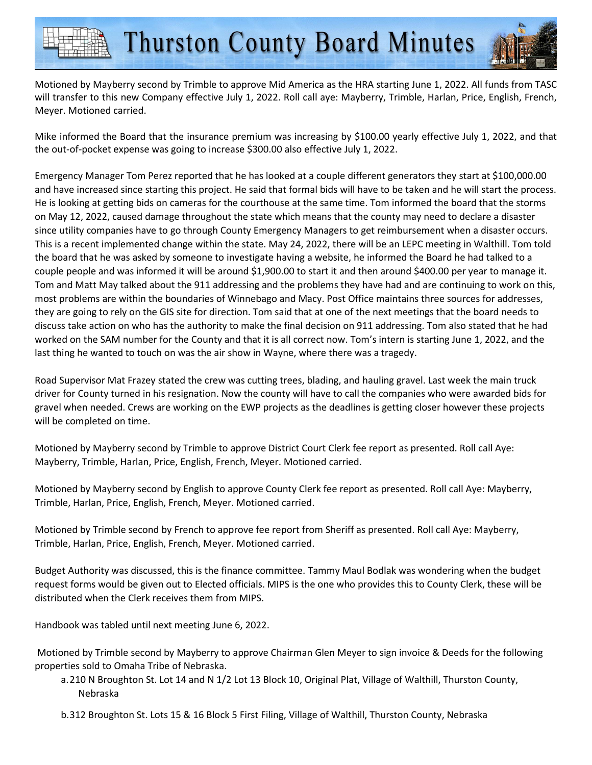

Mike informed the Board that the insurance premium was increasing by \$100.00 yearly effective July 1, 2022, and that the out-of-pocket expense was going to increase \$300.00 also effective July 1, 2022.

Emergency Manager Tom Perez reported that he has looked at a couple different generators they start at \$100,000.00 and have increased since starting this project. He said that formal bids will have to be taken and he will start the process. He is looking at getting bids on cameras for the courthouse at the same time. Tom informed the board that the storms on May 12, 2022, caused damage throughout the state which means that the county may need to declare a disaster since utility companies have to go through County Emergency Managers to get reimbursement when a disaster occurs. This is a recent implemented change within the state. May 24, 2022, there will be an LEPC meeting in Walthill. Tom told the board that he was asked by someone to investigate having a website, he informed the Board he had talked to a couple people and was informed it will be around \$1,900.00 to start it and then around \$400.00 per year to manage it. Tom and Matt May talked about the 911 addressing and the problems they have had and are continuing to work on this, most problems are within the boundaries of Winnebago and Macy. Post Office maintains three sources for addresses, they are going to rely on the GIS site for direction. Tom said that at one of the next meetings that the board needs to discuss take action on who has the authority to make the final decision on 911 addressing. Tom also stated that he had worked on the SAM number for the County and that it is all correct now. Tom's intern is starting June 1, 2022, and the last thing he wanted to touch on was the air show in Wayne, where there was a tragedy.

Road Supervisor Mat Frazey stated the crew was cutting trees, blading, and hauling gravel. Last week the main truck driver for County turned in his resignation. Now the county will have to call the companies who were awarded bids for gravel when needed. Crews are working on the EWP projects as the deadlines is getting closer however these projects will be completed on time.

Motioned by Mayberry second by Trimble to approve District Court Clerk fee report as presented. Roll call Aye: Mayberry, Trimble, Harlan, Price, English, French, Meyer. Motioned carried.

Motioned by Mayberry second by English to approve County Clerk fee report as presented. Roll call Aye: Mayberry, Trimble, Harlan, Price, English, French, Meyer. Motioned carried.

Motioned by Trimble second by French to approve fee report from Sheriff as presented. Roll call Aye: Mayberry, Trimble, Harlan, Price, English, French, Meyer. Motioned carried.

Budget Authority was discussed, this is the finance committee. Tammy Maul Bodlak was wondering when the budget request forms would be given out to Elected officials. MIPS is the one who provides this to County Clerk, these will be distributed when the Clerk receives them from MIPS.

Handbook was tabled until next meeting June 6, 2022.

 Motioned by Trimble second by Mayberry to approve Chairman Glen Meyer to sign invoice & Deeds for the following properties sold to Omaha Tribe of Nebraska.

- a.210 N Broughton St. Lot 14 and N 1/2 Lot 13 Block 10, Original Plat, Village of Walthill, Thurston County, Nebraska
- b.312 Broughton St. Lots 15 & 16 Block 5 First Filing, Village of Walthill, Thurston County, Nebraska